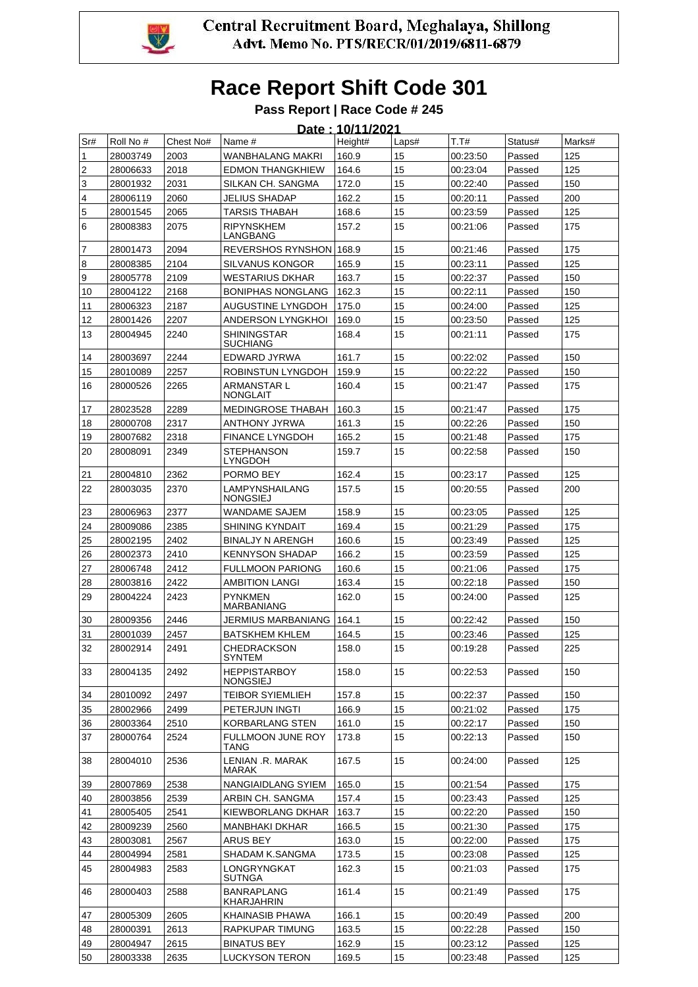

|     |           |           |                                        | Date: 10/11/2021 |       |          |         |        |
|-----|-----------|-----------|----------------------------------------|------------------|-------|----------|---------|--------|
| Sr# | Roll No # | Chest No# | Name #                                 | Heiaht#          | Laps# | T.T#     | Status# | Marks# |
| 1   | 28003749  | 2003      | WANBHALANG MAKRI                       | 160.9            | 15    | 00:23:50 | Passed  | 125    |
| 2   | 28006633  | 2018      | <b>EDMON THANGKHIEW</b>                | 164.6            | 15    | 00:23:04 | Passed  | 125    |
| 3   | 28001932  | 2031      | SILKAN CH. SANGMA                      | 172.0            | 15    | 00:22:40 | Passed  | 150    |
| 4   | 28006119  | 2060      | JELIUS SHADAP                          | 162.2            | 15    | 00:20:11 | Passed  | 200    |
| 5   | 28001545  | 2065      | TARSIS THABAH                          | 168.6            | 15    | 00:23:59 | Passed  | 125    |
| 6   | 28008383  | 2075      | <b>RIPYNSKHEM</b><br>LANGBANG          | 157.2            | 15    | 00:21:06 | Passed  | 175    |
| 7   | 28001473  | 2094      | REVERSHOS RYNSHON 168.9                |                  | 15    | 00:21:46 | Passed  | 175    |
| 8   | 28008385  | 2104      | SILVANUS KONGOR                        | 165.9            | 15    | 00:23:11 | Passed  | 125    |
| 9   | 28005778  | 2109      | <b>WESTARIUS DKHAR</b>                 | 163.7            | 15    | 00:22:37 | Passed  | 150    |
| 10  | 28004122  | 2168      | <b>BONIPHAS NONGLANG</b>               | 162.3            | 15    | 00:22:11 | Passed  | 150    |
| 11  | 28006323  | 2187      | AUGUSTINE LYNGDOH                      | 175.0            | 15    | 00:24:00 | Passed  | 125    |
| 12  | 28001426  | 2207      | <b>ANDERSON LYNGKHOI</b>               | 169.0            | 15    | 00:23:50 | Passed  | 125    |
| 13  | 28004945  | 2240      | <b>SHININGSTAR</b><br><b>SUCHIANG</b>  | 168.4            | 15    | 00:21:11 | Passed  | 175    |
| 14  | 28003697  | 2244      | EDWARD JYRWA                           | 161.7            | 15    | 00:22:02 | Passed  | 150    |
| 15  | 28010089  | 2257      | ROBINSTUN LYNGDOH                      | 159.9            | 15    | 00:22:22 | Passed  | 150    |
| 16  | 28000526  | 2265      | <b>ARMANSTAR L</b><br><b>NONGLAIT</b>  | 160.4            | 15    | 00:21:47 | Passed  | 175    |
| 17  | 28023528  | 2289      | <b>MEDINGROSE THABAH</b>               | 160.3            | 15    | 00:21:47 | Passed  | 175    |
| 18  | 28000708  | 2317      | <b>ANTHONY JYRWA</b>                   | 161.3            | 15    | 00:22:26 | Passed  | 150    |
| 19  | 28007682  | 2318      | <b>FINANCE LYNGDOH</b>                 | 165.2            | 15    | 00:21:48 | Passed  | 175    |
| 20  | 28008091  | 2349      | <b>STEPHANSON</b><br>LYNGDOH           | 159.7            | 15    | 00:22:58 | Passed  | 150    |
| 21  | 28004810  | 2362      | PORMO BEY                              | 162.4            | 15    | 00:23:17 | Passed  | 125    |
| 22  | 28003035  | 2370      | LAMPYNSHAILANG<br><b>NONGSIEJ</b>      | 157.5            | 15    | 00:20:55 | Passed  | 200    |
| 23  | 28006963  | 2377      | <b>WANDAME SAJEM</b>                   | 158.9            | 15    | 00:23:05 | Passed  | 125    |
| 24  | 28009086  | 2385      | <b>SHINING KYNDAIT</b>                 | 169.4            | 15    | 00:21:29 | Passed  | 175    |
| 25  | 28002195  | 2402      | <b>BINALJY N ARENGH</b>                | 160.6            | 15    | 00:23:49 | Passed  | 125    |
| 26  | 28002373  | 2410      | <b>KENNYSON SHADAP</b>                 | 166.2            | 15    | 00:23:59 | Passed  | 125    |
| 27  | 28006748  | 2412      | <b>FULLMOON PARIONG</b>                | 160.6            | 15    | 00:21:06 | Passed  | 175    |
| 28  | 28003816  | 2422      | <b>AMBITION LANGI</b>                  | 163.4            | 15    | 00:22:18 | Passed  | 150    |
| 29  | 28004224  | 2423      | <b>PYNKMEN</b><br>MARBANIANG           | 162.0            | 15    | 00:24:00 | Passed  | 125    |
| 30  | 28009356  | 2446      | JERMIUS MARBANIANG                     | 164.1            | 15    | 00:22:42 | Passed  | 150    |
| 31  | 28001039  | 2457      | <b>BATSKHEM KHLEM</b>                  | 164.5            | 15    | 00:23:46 | Passed  | 125    |
| 32  | 28002914  | 2491      | <b>CHEDRACKSON</b><br>SYNTEM           | 158.0            | 15    | 00:19:28 | Passed  | 225    |
| 33  | 28004135  | 2492      | <b>HEPPISTARBOY</b><br><b>NONGSIEJ</b> | 158.0            | 15    | 00:22:53 | Passed  | 150    |
| 34  | 28010092  | 2497      | <b>TEIBOR SYIEMLIEH</b>                | 157.8            | 15    | 00:22:37 | Passed  | 150    |
| 35  | 28002966  | 2499      | PETERJUN INGTI                         | 166.9            | 15    | 00:21:02 | Passed  | 175    |
| 36  | 28003364  | 2510      | KORBARLANG STEN                        | 161.0            | 15    | 00:22:17 | Passed  | 150    |
| 37  | 28000764  | 2524      | <b>FULLMOON JUNE ROY</b><br>TANG       | 173.8            | 15    | 00:22:13 | Passed  | 150    |
| 38  | 28004010  | 2536      | LENIAN .R. MARAK<br>MARAK              | 167.5            | 15    | 00:24:00 | Passed  | 125    |
| 39  | 28007869  | 2538      | NANGIAIDLANG SYIEM                     | 165.0            | 15    | 00:21:54 | Passed  | 175    |
| 40  | 28003856  | 2539      | ARBIN CH. SANGMA                       | 157.4            | 15    | 00:23:43 | Passed  | 125    |
| 41  | 28005405  | 2541      | KIEWBORLANG DKHAR                      | 163.7            | 15    | 00:22:20 | Passed  | 150    |
| 42  | 28009239  | 2560      | <b>MANBHAKI DKHAR</b>                  | 166.5            | 15    | 00:21:30 | Passed  | 175    |
| 43  | 28003081  | 2567      | ARUS BEY                               | 163.0            | 15    | 00:22:00 | Passed  | 175    |
| 44  | 28004994  | 2581      | SHADAM K.SANGMA                        | 173.5            | 15    | 00:23:08 | Passed  | 125    |
| 45  | 28004983  | 2583      | LONGRYNGKAT<br><b>SUTNGA</b>           | 162.3            | 15    | 00:21:03 | Passed  | 175    |
| 46  | 28000403  | 2588      | <b>BANRAPLANG</b><br>KHARJAHRIN        | 161.4            | 15    | 00:21:49 | Passed  | 175    |
| 47  | 28005309  | 2605      | KHAINASIB PHAWA                        | 166.1            | 15    | 00:20:49 | Passed  | 200    |
| 48  | 28000391  | 2613      | RAPKUPAR TIMUNG                        | 163.5            | 15    | 00:22:28 | Passed  | 150    |
| 49  | 28004947  | 2615      | <b>BINATUS BEY</b>                     | 162.9            | 15    | 00:23:12 | Passed  | 125    |
| 50  | 28003338  | 2635      | <b>LUCKYSON TERON</b>                  | 169.5            | 15    | 00:23:48 | Passed  | 125    |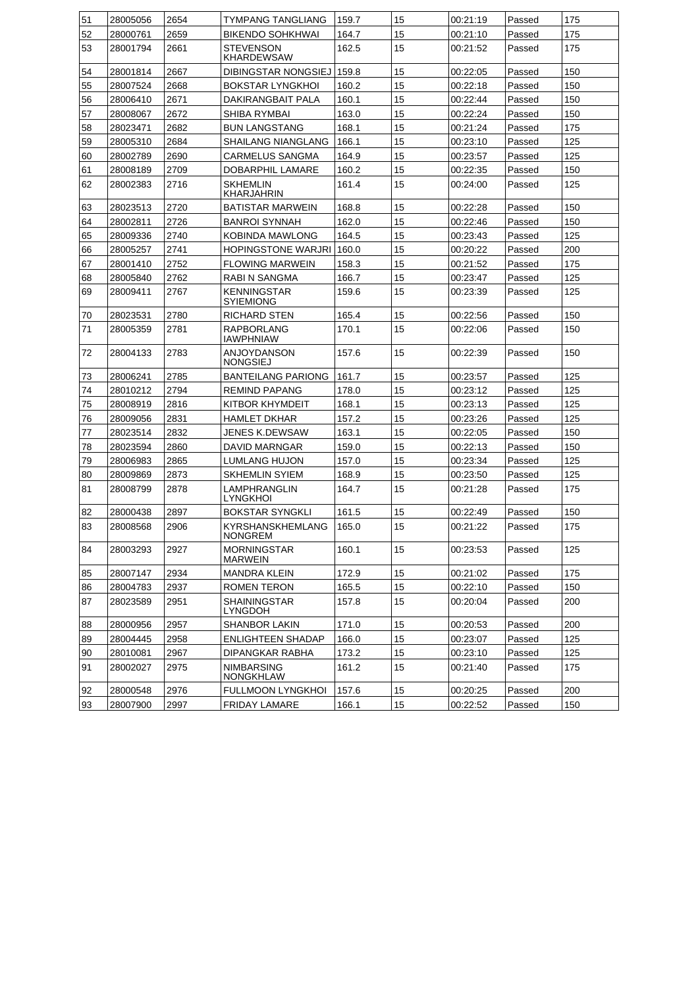| 51 | 28005056 | 2654 | TYMPANG TANGLIANG                      | 159.7 | 15 | 00:21:19 | Passed | 175 |
|----|----------|------|----------------------------------------|-------|----|----------|--------|-----|
| 52 | 28000761 | 2659 | BIKENDO SOHKHWAI                       | 164.7 | 15 | 00:21:10 | Passed | 175 |
| 53 | 28001794 | 2661 | <b>STEVENSON</b><br><b>KHARDEWSAW</b>  | 162.5 | 15 | 00:21:52 | Passed | 175 |
| 54 | 28001814 | 2667 | <b>DIBINGSTAR NONGSIEJ</b>             | 159.8 | 15 | 00:22:05 | Passed | 150 |
| 55 | 28007524 | 2668 | <b>BOKSTAR LYNGKHOL</b>                | 160.2 | 15 | 00:22:18 | Passed | 150 |
| 56 | 28006410 | 2671 | DAKIRANGBAIT PALA                      | 160.1 | 15 | 00:22:44 | Passed | 150 |
| 57 | 28008067 | 2672 | SHIBA RYMBAI                           | 163.0 | 15 | 00:22:24 | Passed | 150 |
| 58 | 28023471 | 2682 | <b>BUN LANGSTANG</b>                   | 168.1 | 15 | 00:21:24 | Passed | 175 |
| 59 | 28005310 | 2684 | <b>SHAILANG NIANGLANG</b>              | 166.1 | 15 | 00:23:10 | Passed | 125 |
| 60 | 28002789 | 2690 | <b>CARMELUS SANGMA</b>                 | 164.9 | 15 | 00:23:57 | Passed | 125 |
| 61 | 28008189 | 2709 | DOBARPHIL LAMARE                       | 160.2 | 15 | 00:22:35 | Passed | 150 |
| 62 | 28002383 | 2716 | <b>SKHEMLIN</b><br>KHARJAHRIN          | 161.4 | 15 | 00:24:00 | Passed | 125 |
| 63 | 28023513 | 2720 | <b>BATISTAR MARWEIN</b>                | 168.8 | 15 | 00:22:28 | Passed | 150 |
| 64 | 28002811 | 2726 | <b>BANROI SYNNAH</b>                   | 162.0 | 15 | 00:22:46 | Passed | 150 |
| 65 | 28009336 | 2740 | KOBINDA MAWLONG                        | 164.5 | 15 | 00:23:43 | Passed | 125 |
| 66 | 28005257 | 2741 | <b>HOPINGSTONE WARJRI</b>              | 160.0 | 15 | 00:20:22 | Passed | 200 |
| 67 | 28001410 | 2752 | <b>FLOWING MARWEIN</b>                 | 158.3 | 15 | 00:21:52 | Passed | 175 |
| 68 | 28005840 | 2762 | RABI N SANGMA                          | 166.7 | 15 | 00:23:47 | Passed | 125 |
| 69 | 28009411 | 2767 | <b>KENNINGSTAR</b><br><b>SYIEMIONG</b> | 159.6 | 15 | 00:23:39 | Passed | 125 |
| 70 | 28023531 | 2780 | RICHARD STEN                           | 165.4 | 15 | 00:22:56 | Passed | 150 |
| 71 | 28005359 | 2781 | RAPBORLANG<br><b>IAWPHNIAW</b>         | 170.1 | 15 | 00:22:06 | Passed | 150 |
| 72 | 28004133 | 2783 | ANJOYDANSON<br><b>NONGSIEJ</b>         | 157.6 | 15 | 00:22:39 | Passed | 150 |
| 73 | 28006241 | 2785 | <b>BANTEILANG PARIONG</b>              | 161.7 | 15 | 00:23:57 | Passed | 125 |
| 74 | 28010212 | 2794 | <b>REMIND PAPANG</b>                   | 178.0 | 15 | 00:23:12 | Passed | 125 |
| 75 | 28008919 | 2816 | KITBOR KHYMDEIT                        | 168.1 | 15 | 00:23:13 | Passed | 125 |
| 76 | 28009056 | 2831 | <b>HAMLET DKHAR</b>                    | 157.2 | 15 | 00:23:26 | Passed | 125 |
| 77 | 28023514 | 2832 | JENES K.DEWSAW                         | 163.1 | 15 | 00:22:05 | Passed | 150 |
| 78 | 28023594 | 2860 | DAVID MARNGAR                          | 159.0 | 15 | 00:22:13 | Passed | 150 |
| 79 | 28006983 | 2865 | LUMLANG HUJON                          | 157.0 | 15 | 00:23:34 | Passed | 125 |
| 80 | 28009869 | 2873 | <b>SKHEMLIN SYIEM</b>                  | 168.9 | 15 | 00:23:50 | Passed | 125 |
| 81 | 28008799 | 2878 | LAMPHRANGLIN<br><b>LYNGKHOI</b>        | 164.7 | 15 | 00:21:28 | Passed | 175 |
| 82 | 28000438 | 2897 | <b>BOKSTAR SYNGKLI</b>                 | 161.5 | 15 | 00:22:49 | Passed | 150 |
| 83 | 28008568 | 2906 | KYRSHANSKHEMLANG<br>NONGREM            | 165.0 | 15 | 00:21:22 | Passed | 175 |
| 84 | 28003293 | 2927 | <b>MORNINGSTAR</b><br><b>MARWEIN</b>   | 160.1 | 15 | 00:23:53 | Passed | 125 |
| 85 | 28007147 | 2934 | <b>MANDRA KLEIN</b>                    | 172.9 | 15 | 00:21:02 | Passed | 175 |
| 86 | 28004783 | 2937 | ROMEN TERON                            | 165.5 | 15 | 00:22:10 | Passed | 150 |
| 87 | 28023589 | 2951 | SHAININGSTAR<br><b>LYNGDOH</b>         | 157.8 | 15 | 00:20:04 | Passed | 200 |
| 88 | 28000956 | 2957 | SHANBOR LAKIN                          | 171.0 | 15 | 00:20:53 | Passed | 200 |
| 89 | 28004445 | 2958 | ENLIGHTEEN SHADAP                      | 166.0 | 15 | 00:23:07 | Passed | 125 |
| 90 | 28010081 | 2967 | DIPANGKAR RABHA                        | 173.2 | 15 | 00:23:10 | Passed | 125 |
| 91 | 28002027 | 2975 | NIMBARSING<br><b>NONGKHLAW</b>         | 161.2 | 15 | 00:21:40 | Passed | 175 |
| 92 | 28000548 | 2976 | <b>FULLMOON LYNGKHOI</b>               | 157.6 | 15 | 00:20:25 | Passed | 200 |
| 93 | 28007900 | 2997 | <b>FRIDAY LAMARE</b>                   | 166.1 | 15 | 00:22:52 | Passed | 150 |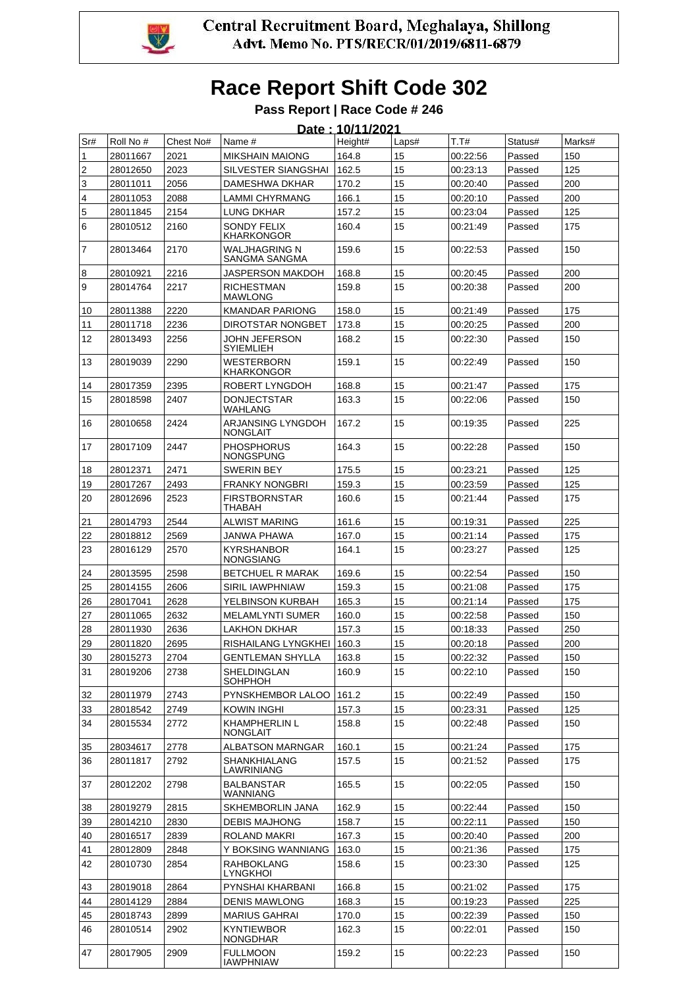

|                   |           |           |                                         | Date: 10/11/2021 |       |          |         |        |
|-------------------|-----------|-----------|-----------------------------------------|------------------|-------|----------|---------|--------|
| Sr#               | Roll No # | Chest No# | Name #                                  | Height#          | Laps# | T.T#     | Status# | Marks# |
| 1                 | 28011667  | 2021      | <b>MIKSHAIN MAIONG</b>                  | 164.8            | 15    | 00:22:56 | Passed  | 150    |
| 2                 | 28012650  | 2023      | SILVESTER SIANGSHAI                     | 162.5            | 15    | 00:23:13 | Passed  | 125    |
| 3                 | 28011011  | 2056      | DAMESHWA DKHAR                          | 170.2            | 15    | 00:20:40 | Passed  | 200    |
| 4                 | 28011053  | 2088      | LAMMI CHYRMANG                          | 166.1            | 15    | 00:20:10 | Passed  | 200    |
| 5                 | 28011845  | 2154      | LUNG DKHAR                              | 157.2            | 15    | 00:23:04 | Passed  | 125    |
| 6                 | 28010512  | 2160      | SONDY FELIX<br><b>KHARKONGOR</b>        | 160.4            | 15    | 00:21:49 | Passed  | 175    |
| $\overline{7}$    | 28013464  | 2170      | WALJHAGRING N<br>SANGMA SANGMA          | 159.6            | 15    | 00:22:53 | Passed  | 150    |
| 8                 | 28010921  | 2216      | JASPERSON MAKDOH                        | 168.8            | 15    | 00:20:45 | Passed  | 200    |
| 9                 | 28014764  | 2217      | <b>RICHESTMAN</b><br><b>MAWLONG</b>     | 159.8            | 15    | 00:20:38 | Passed  | 200    |
| 10                | 28011388  | 2220      | <b>KMANDAR PARIONG</b>                  | 158.0            | 15    | 00:21:49 | Passed  | 175    |
| 11                | 28011718  | 2236      | DIROTSTAR NONGBET                       | 173.8            | 15    | 00:20:25 | Passed  | 200    |
| $12 \overline{ }$ | 28013493  | 2256      | JOHN JEFERSON<br><b>SYIEMLIEH</b>       | 168.2            | 15    | 00:22:30 | Passed  | 150    |
| 13                | 28019039  | 2290      | <b>WESTERBORN</b><br><b>KHARKONGOR</b>  | 159.1            | 15    | 00:22:49 | Passed  | 150    |
| 14                | 28017359  | 2395      | ROBERT LYNGDOH                          | 168.8            | 15    | 00:21:47 | Passed  | 175    |
| 15                | 28018598  | 2407      | <b>DONJECTSTAR</b><br>WAHLANG           | 163.3            | 15    | 00:22:06 | Passed  | 150    |
| 16                | 28010658  | 2424      | ARJANSING LYNGDOH<br><b>NONGLAIT</b>    | 167.2            | 15    | 00:19:35 | Passed  | 225    |
| 17                | 28017109  | 2447      | <b>PHOSPHORUS</b><br>NONGSPUNG          | 164.3            | 15    | 00:22:28 | Passed  | 150    |
| 18                | 28012371  | 2471      | <b>SWERIN BEY</b>                       | 175.5            | 15    | 00:23:21 | Passed  | 125    |
| 19                | 28017267  | 2493      | <b>FRANKY NONGBRI</b>                   | 159.3            | 15    | 00:23:59 | Passed  | 125    |
| 20                | 28012696  | 2523      | <b>FIRSTBORNSTAR</b><br>THABAH          | 160.6            | 15    | 00:21:44 | Passed  | 175    |
| 21                | 28014793  | 2544      | <b>ALWIST MARING</b>                    | 161.6            | 15    | 00:19:31 | Passed  | 225    |
| 22                | 28018812  | 2569      | JANWA PHAWA                             | 167.0            | 15    | 00:21:14 | Passed  | 175    |
| 23                | 28016129  | 2570      | <b>KYRSHANBOR</b><br><b>NONGSIANG</b>   | 164.1            | 15    | 00:23:27 | Passed  | 125    |
| 24                | 28013595  | 2598      | <b>BETCHUEL R MARAK</b>                 | 169.6            | 15    | 00:22:54 | Passed  | 150    |
| 25                | 28014155  | 2606      | <b>SIRIL IAWPHNIAW</b>                  | 159.3            | 15    | 00:21:08 | Passed  | 175    |
| 26                | 28017041  | 2628      | YELBINSON KURBAH                        | 165.3            | 15    | 00:21:14 | Passed  | 175    |
| 27                | 28011065  | 2632      | <b>MELAMLYNTI SUMER</b>                 | 160.0            | 15    | 00:22:58 | Passed  | 150    |
| 28                | 28011930  | 2636      | <b>LAKHON DKHAR</b>                     | 157.3            | 15    | 00:18:33 | Passed  | 250    |
| 29                | 28011820  | 2695      | RISHAILANG LYNGKHEI                     | 160.3            | 15    | 00:20:18 | Passed  | 200    |
| 30                | 28015273  | 2704      | <b>GENTLEMAN SHYLLA</b>                 | 163.8            | 15    | 00:22:32 | Passed  | 150    |
| 31                | 28019206  | 2738      | SHELDINGLAN<br><b>SOHPHOH</b>           | 160.9            | 15    | 00:22:10 | Passed  | 150    |
| 32                | 28011979  | 2743      | PYNSKHEMBOR LALOO                       | 161.2            | 15    | 00:22:49 | Passed  | 150    |
| 33                | 28018542  | 2749      | <b>KOWIN INGHI</b>                      | 157.3            | 15    | 00:23:31 | Passed  | 125    |
| 34                | 28015534  | 2772      | <b>KHAMPHERLIN L</b><br><b>NONGLAIT</b> | 158.8            | 15    | 00:22:48 | Passed  | 150    |
| 35                | 28034617  | 2778      | <b>ALBATSON MARNGAR</b>                 | 160.1            | 15    | 00:21:24 | Passed  | 175    |
| 36                | 28011817  | 2792      | <b>SHANKHIALANG</b><br>LAWRINIANG       | 157.5            | 15    | 00:21:52 | Passed  | 175    |
| 37                | 28012202  | 2798      | <b>BALBANSTAR</b><br>WANNIANG           | 165.5            | 15    | 00:22:05 | Passed  | 150    |
| 38                | 28019279  | 2815      | <b>SKHEMBORLIN JANA</b>                 | 162.9            | 15    | 00:22:44 | Passed  | 150    |
| 39                | 28014210  | 2830      | <b>DEBIS MAJHONG</b>                    | 158.7            | 15    | 00:22:11 | Passed  | 150    |
| 40                | 28016517  | 2839      | <b>ROLAND MAKRI</b>                     | 167.3            | 15    | 00:20:40 | Passed  | 200    |
| 41                | 28012809  | 2848      | Y BOKSING WANNIANG                      | 163.0            | 15    | 00:21:36 | Passed  | 175    |
| 42                | 28010730  | 2854      | <b>RAHBOKLANG</b><br><b>LYNGKHOI</b>    | 158.6            | 15    | 00:23:30 | Passed  | 125    |
| 43                | 28019018  | 2864      | PYNSHAI KHARBANI                        | 166.8            | 15    | 00:21:02 | Passed  | 175    |
| 44                | 28014129  | 2884      | <b>DENIS MAWLONG</b>                    | 168.3            | 15    | 00:19:23 | Passed  | 225    |
| 45                | 28018743  | 2899      | <b>MARIUS GAHRAI</b>                    | 170.0            | 15    | 00:22:39 | Passed  | 150    |
| 46                | 28010514  | 2902      | <b>KYNTIEWBOR</b><br><b>NONGDHAR</b>    | 162.3            | 15    | 00:22:01 | Passed  | 150    |
| 47                | 28017905  | 2909      | <b>FULLMOON</b><br><b>IAWPHNIAW</b>     | 159.2            | 15    | 00:22:23 | Passed  | 150    |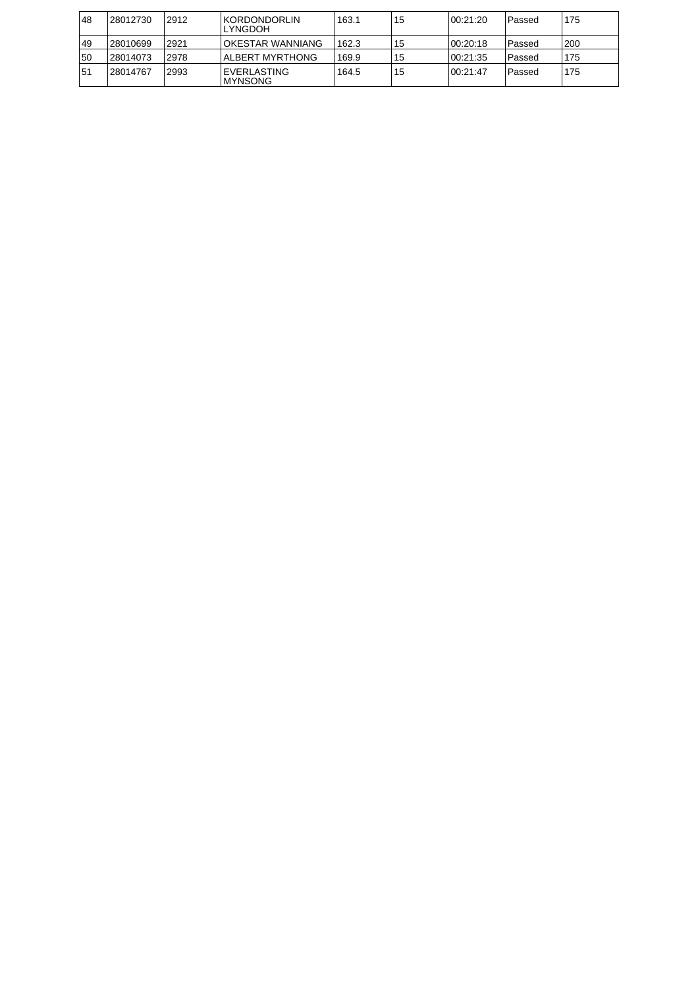| 48  | 28012730  | 2912 | IKORDONDORLIN<br>LYNGDOH         | 163.1 | 15 | 00:21:20  | Passed | 175 |
|-----|-----------|------|----------------------------------|-------|----|-----------|--------|-----|
| 49  | 128010699 | 2921 | OKESTAR WANNIANG                 | 162.3 | 15 | 100:20:18 | Passed | 200 |
| 150 | 128014073 | 2978 | ALBERT MYRTHONG                  | 169.9 | 15 | 100:21:35 | Passed | 175 |
| 151 | 28014767  | 2993 | <b>EVERLASTING</b><br>IMYNSONG I | 164.5 | 15 | 100:21:47 | Passed | 175 |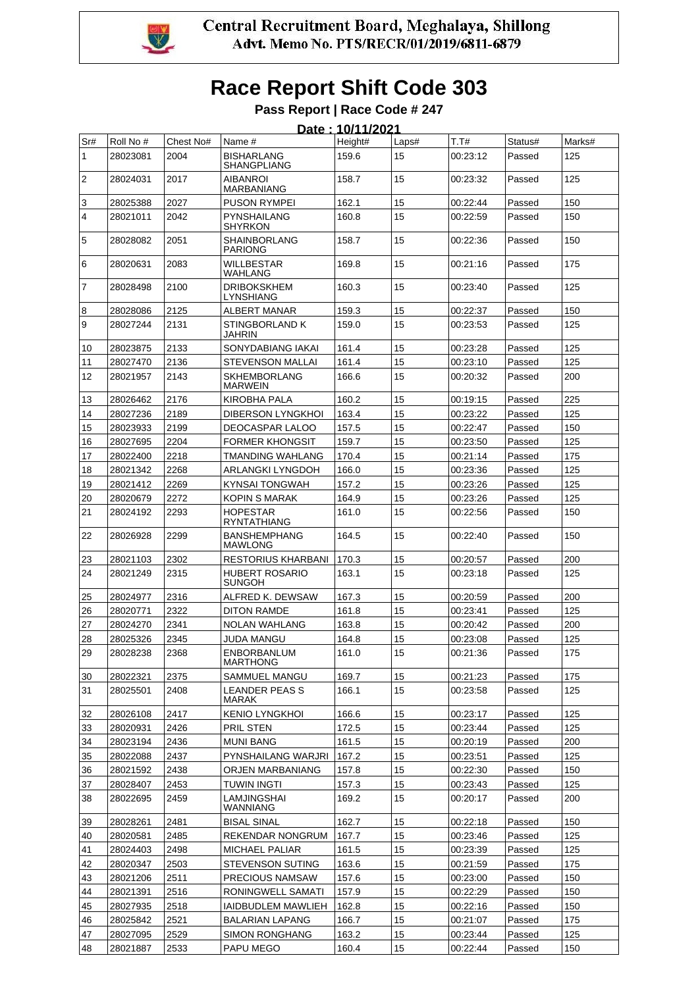

|                |           |           |                                       | Date: 10/11/2021 |       |          |         |        |
|----------------|-----------|-----------|---------------------------------------|------------------|-------|----------|---------|--------|
| Sr#            | Roll No # | Chest No# | Name #                                | Height#          | Laps# | T.T#     | Status# | Marks# |
| 1              | 28023081  | 2004      | <b>BISHARLANG</b><br>SHANGPLIANG      | 159.6            | 15    | 00:23:12 | Passed  | 125    |
| 2              | 28024031  | 2017      | AIBANROI<br><b>MARBANIANG</b>         | 158.7            | 15    | 00:23:32 | Passed  | 125    |
| 3              | 28025388  | 2027      | <b>PUSON RYMPEI</b>                   | 162.1            | 15    | 00:22:44 | Passed  | 150    |
| 4              | 28021011  | 2042      | PYNSHAILANG<br><b>SHYRKON</b>         | 160.8            | 15    | 00:22:59 | Passed  | 150    |
| 5              | 28028082  | 2051      | <b>SHAINBORLANG</b><br><b>PARIONG</b> | 158.7            | 15    | 00:22:36 | Passed  | 150    |
| 6              | 28020631  | 2083      | WILLBESTAR<br>WAHLANG                 | 169.8            | 15    | 00:21:16 | Passed  | 175    |
| $\overline{7}$ | 28028498  | 2100      | <b>DRIBOKSKHEM</b><br>LYNSHIANG       | 160.3            | 15    | 00:23:40 | Passed  | 125    |
| 8              | 28028086  | 2125      | ALBERT MANAR                          | 159.3            | 15    | 00:22:37 | Passed  | 150    |
| 9              | 28027244  | 2131      | STINGBORLAND K<br>JAHRIN              | 159.0            | 15    | 00:23:53 | Passed  | 125    |
| 10             | 28023875  | 2133      | SONYDABIANG IAKAI                     | 161.4            | 15    | 00:23:28 | Passed  | 125    |
| 11             | 28027470  | 2136      | STEVENSON MALLAI                      | 161.4            | 15    | 00:23:10 | Passed  | 125    |
| 12             | 28021957  | 2143      | <b>SKHEMBORLANG</b><br><b>MARWEIN</b> | 166.6            | 15    | 00:20:32 | Passed  | 200    |
| 13             | 28026462  | 2176      | KIROBHA PALA                          | 160.2            | 15    | 00:19:15 | Passed  | 225    |
| 14             | 28027236  | 2189      | <b>DIBERSON LYNGKHOI</b>              | 163.4            | 15    | 00:23:22 | Passed  | 125    |
| 15             | 28023933  | 2199      | DEOCASPAR LALOO                       | 157.5            | 15    | 00:22:47 | Passed  | 150    |
| 16             | 28027695  | 2204      | <b>FORMER KHONGSIT</b>                | 159.7            | 15    | 00:23:50 | Passed  | 125    |
| 17             | 28022400  | 2218      | TMANDING WAHLANG                      | 170.4            | 15    | 00:21:14 | Passed  | 175    |
| 18             | 28021342  | 2268      | ARLANGKI LYNGDOH                      | 166.0            | 15    | 00:23:36 | Passed  | 125    |
| 19             | 28021412  | 2269      | KYNSAI TONGWAH                        | 157.2            | 15    | 00:23:26 | Passed  | 125    |
| 20             | 28020679  | 2272      | KOPIN S MARAK                         | 164.9            | 15    | 00:23:26 | Passed  | 125    |
| 21             | 28024192  | 2293      | <b>HOPESTAR</b><br>RYNTATHIANG        | 161.0            | 15    | 00:22:56 | Passed  | 150    |
| 22             | 28026928  | 2299      | <b>BANSHEMPHANG</b><br>MAWLONG        | 164.5            | 15    | 00:22:40 | Passed  | 150    |
| 23             | 28021103  | 2302      | RESTORIUS KHARBANI                    | 170.3            | 15    | 00:20:57 | Passed  | 200    |
| 24             | 28021249  | 2315      | <b>HUBERT ROSARIO</b><br>SUNGOH       | 163.1            | 15    | 00:23:18 | Passed  | 125    |
| 25             | 28024977  | 2316      | ALFRED K. DEWSAW                      | 167.3            | 15    | 00:20:59 | Passed  | 200    |
| 26             | 28020771  | 2322      | <b>DITON RAMDE</b>                    | 161.8            | 15    | 00:23:41 | Passed  | 125    |
| 27             | 28024270  | 2341      | <b>NOLAN WAHLANG</b>                  | 163.8            | 15    | 00:20:42 | Passed  | 200    |
| 28             | 28025326  | 2345      | <b>JUDA MANGU</b>                     | 164.8            | 15    | 00:23:08 | Passed  | 125    |
| 29             | 28028238  | 2368      | ENBORBANLUM<br>MARTHONG               | 161.0            | 15    | 00:21:36 | Passed  | 175    |
| 30             | 28022321  | 2375      | SAMMUEL MANGU                         | 169.7            | 15    | 00:21:23 | Passed  | 175    |
| 31             | 28025501  | 2408      | <b>LEANDER PEAS S</b><br>MARAK        | 166.1            | 15    | 00:23:58 | Passed  | 125    |
| 32             | 28026108  | 2417      | KENIO LYNGKHOI                        | 166.6            | 15    | 00:23:17 | Passed  | 125    |
| 33             | 28020931  | 2426      | PRIL STEN                             | 172.5            | 15    | 00:23:44 | Passed  | 125    |
| 34             | 28023194  | 2436      | <b>MUNI BANG</b>                      | 161.5            | 15    | 00:20:19 | Passed  | 200    |
| 35             | 28022088  | 2437      | PYNSHAILANG WARJRI                    | 167.2            | 15    | 00:23:51 | Passed  | 125    |
| 36             | 28021592  | 2438      | ORJEN MARBANIANG                      | 157.8            | 15    | 00:22:30 | Passed  | 150    |
| 37             | 28028407  | 2453      | TUWIN INGTI                           | 157.3            | 15    | 00:23:43 | Passed  | 125    |
| 38             | 28022695  | 2459      | LAMJINGSHAI<br>WANNIANG               | 169.2            | 15    | 00:20:17 | Passed  | 200    |
| 39             | 28028261  | 2481      | BISAL SINAL                           | 162.7            | 15    | 00:22:18 | Passed  | 150    |
| 40             | 28020581  | 2485      | <b>REKENDAR NONGRUM</b>               | 167.7            | 15    | 00:23:46 | Passed  | 125    |
| 41             | 28024403  | 2498      | MICHAEL PALIAR                        | 161.5            | 15    | 00:23:39 | Passed  | 125    |
| 42             | 28020347  | 2503      | <b>STEVENSON SUTING</b>               | 163.6            | 15    | 00:21:59 | Passed  | 175    |
| 43             | 28021206  | 2511      | PRECIOUS NAMSAW                       | 157.6            | 15    | 00:23:00 | Passed  | 150    |
| 44             | 28021391  | 2516      | RONINGWELL SAMATI                     | 157.9            | 15    | 00:22:29 | Passed  | 150    |
| 45             | 28027935  | 2518      | IAIDBUDLEM MAWLIEH                    | 162.8            | 15    | 00:22:16 | Passed  | 150    |
| 46             | 28025842  | 2521      | BALARIAN LAPANG                       | 166.7            | 15    | 00:21:07 | Passed  | 175    |
| 47             | 28027095  | 2529      | SIMON RONGHANG                        | 163.2            | 15    | 00:23:44 | Passed  | 125    |
| 48             | 28021887  | 2533      | PAPU MEGO                             | 160.4            | 15    | 00:22:44 | Passed  | 150    |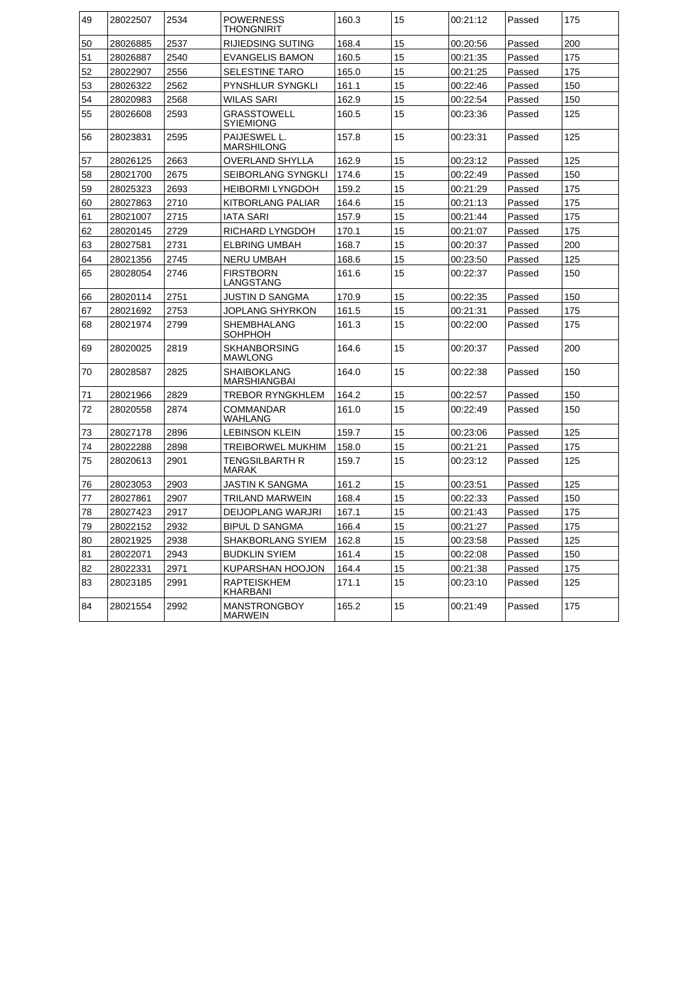| 49 | 28022507 | 2534 | <b>POWERNESS</b><br>THONGNIRIT        | 160.3 | 15 | 00:21:12 | Passed | 175 |
|----|----------|------|---------------------------------------|-------|----|----------|--------|-----|
| 50 | 28026885 | 2537 | RIJIEDSING SUTING                     | 168.4 | 15 | 00:20:56 | Passed | 200 |
| 51 | 28026887 | 2540 | <b>EVANGELIS BAMON</b>                | 160.5 | 15 | 00:21:35 | Passed | 175 |
| 52 | 28022907 | 2556 | <b>SELESTINE TARO</b>                 | 165.0 | 15 | 00:21:25 | Passed | 175 |
| 53 | 28026322 | 2562 | <b>PYNSHLUR SYNGKLI</b>               | 161.1 | 15 | 00:22:46 | Passed | 150 |
| 54 | 28020983 | 2568 | WILAS SARI                            | 162.9 | 15 | 00:22:54 | Passed | 150 |
| 55 | 28026608 | 2593 | GRASSTOWELL<br>SYIEMIONG              | 160.5 | 15 | 00:23:36 | Passed | 125 |
| 56 | 28023831 | 2595 | PAIJESWEL L.<br><b>MARSHILONG</b>     | 157.8 | 15 | 00:23:31 | Passed | 125 |
| 57 | 28026125 | 2663 | <b>OVERLAND SHYLLA</b>                | 162.9 | 15 | 00:23:12 | Passed | 125 |
| 58 | 28021700 | 2675 | SEIBORLANG SYNGKLI                    | 174.6 | 15 | 00:22:49 | Passed | 150 |
| 59 | 28025323 | 2693 | <b>HEIBORMI LYNGDOH</b>               | 159.2 | 15 | 00:21:29 | Passed | 175 |
| 60 | 28027863 | 2710 | <b>KITBORLANG PALIAR</b>              | 164.6 | 15 | 00:21:13 | Passed | 175 |
| 61 | 28021007 | 2715 | <b>IATA SARI</b>                      | 157.9 | 15 | 00:21:44 | Passed | 175 |
| 62 | 28020145 | 2729 | RICHARD LYNGDOH                       | 170.1 | 15 | 00:21:07 | Passed | 175 |
| 63 | 28027581 | 2731 | <b>ELBRING UMBAH</b>                  | 168.7 | 15 | 00:20:37 | Passed | 200 |
| 64 | 28021356 | 2745 | <b>NERU UMBAH</b>                     | 168.6 | 15 | 00:23:50 | Passed | 125 |
| 65 | 28028054 | 2746 | <b>FIRSTBORN</b><br>LANGSTANG         | 161.6 | 15 | 00:22:37 | Passed | 150 |
| 66 | 28020114 | 2751 | JUSTIN D SANGMA                       | 170.9 | 15 | 00:22:35 | Passed | 150 |
| 67 | 28021692 | 2753 | JOPLANG SHYRKON                       | 161.5 | 15 | 00:21:31 | Passed | 175 |
| 68 | 28021974 | 2799 | SHEMBHALANG<br>SOHPHOH                | 161.3 | 15 | 00:22:00 | Passed | 175 |
| 69 | 28020025 | 2819 | <b>SKHANBORSING</b><br><b>MAWLONG</b> | 164.6 | 15 | 00:20:37 | Passed | 200 |
| 70 | 28028587 | 2825 | SHAIBOKLANG<br>MARSHIANGBAI           | 164.0 | 15 | 00:22:38 | Passed | 150 |
| 71 | 28021966 | 2829 | TREBOR RYNGKHLEM                      | 164.2 | 15 | 00:22:57 | Passed | 150 |
| 72 | 28020558 | 2874 | COMMANDAR<br>WAHLANG                  | 161.0 | 15 | 00:22:49 | Passed | 150 |
| 73 | 28027178 | 2896 | <b>LEBINSON KLEIN</b>                 | 159.7 | 15 | 00:23:06 | Passed | 125 |
| 74 | 28022288 | 2898 | TREIBORWEL MUKHIM                     | 158.0 | 15 | 00:21:21 | Passed | 175 |
| 75 | 28020613 | 2901 | TENGSILBARTH R<br><b>MARAK</b>        | 159.7 | 15 | 00:23:12 | Passed | 125 |
| 76 | 28023053 | 2903 | JASTIN K SANGMA                       | 161.2 | 15 | 00:23:51 | Passed | 125 |
| 77 | 28027861 | 2907 | TRILAND MARWEIN                       | 168.4 | 15 | 00:22:33 | Passed | 150 |
| 78 | 28027423 | 2917 | DEIJOPLANG WARJRI                     | 167.1 | 15 | 00:21:43 | Passed | 175 |
| 79 | 28022152 | 2932 | <b>BIPUL D SANGMA</b>                 | 166.4 | 15 | 00:21:27 | Passed | 175 |
| 80 | 28021925 | 2938 | SHAKBORLANG SYIEM                     | 162.8 | 15 | 00:23:58 | Passed | 125 |
| 81 | 28022071 | 2943 | <b>BUDKLIN SYIEM</b>                  | 161.4 | 15 | 00:22:08 | Passed | 150 |
| 82 | 28022331 | 2971 | KUPARSHAN HOOJON                      | 164.4 | 15 | 00:21:38 | Passed | 175 |
| 83 | 28023185 | 2991 | <b>RAPTEISKHEM</b><br><b>KHARBANI</b> | 171.1 | 15 | 00:23:10 | Passed | 125 |
| 84 | 28021554 | 2992 | <b>MANSTRONGBOY</b><br><b>MARWEIN</b> | 165.2 | 15 | 00:21:49 | Passed | 175 |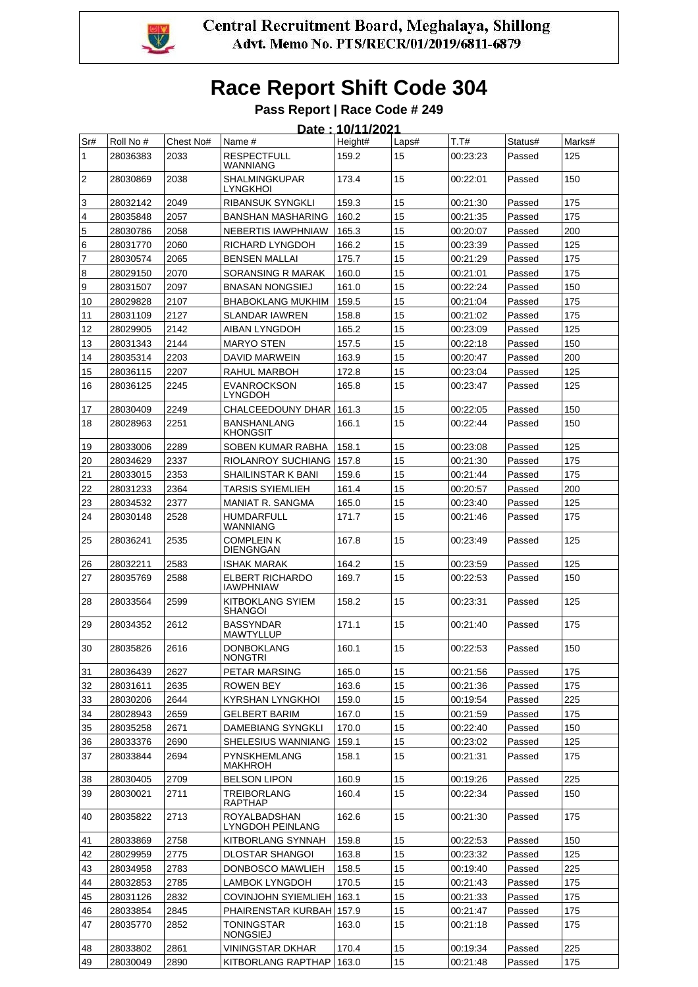

|                | Date: 10/11/2021 |           |                                         |         |       |          |         |        |  |  |
|----------------|------------------|-----------|-----------------------------------------|---------|-------|----------|---------|--------|--|--|
| Sr#            | Roll No #        | Chest No# | Name #                                  | Height# | Laps# | T.T#     | Status# | Marks# |  |  |
| 1              | 28036383         | 2033      | <b>RESPECTFULL</b><br>WANNIANG          | 159.2   | 15    | 00:23:23 | Passed  | 125    |  |  |
| $\overline{2}$ | 28030869         | 2038      | SHALMINGKUPAR<br>LYNGKHOI               | 173.4   | 15    | 00:22:01 | Passed  | 150    |  |  |
| 3              | 28032142         | 2049      | RIBANSUK SYNGKLI                        | 159.3   | 15    | 00:21:30 | Passed  | 175    |  |  |
| 4              | 28035848         | 2057      | BANSHAN MASHARING                       | 160.2   | 15    | 00:21:35 | Passed  | 175    |  |  |
| 5              | 28030786         | 2058      | <b>NEBERTIS IAWPHNIAW</b>               | 165.3   | 15    | 00:20:07 | Passed  | 200    |  |  |
| 6              | 28031770         | 2060      | RICHARD LYNGDOH                         | 166.2   | 15    | 00:23:39 | Passed  | 125    |  |  |
| 7              | 28030574         | 2065      | <b>BENSEN MALLAI</b>                    | 175.7   | 15    | 00:21:29 | Passed  | 175    |  |  |
| 8              | 28029150         | 2070      | SORANSING R MARAK                       | 160.0   | 15    | 00:21:01 | Passed  | 175    |  |  |
| 9              | 28031507         | 2097      | <b>BNASAN NONGSIEJ</b>                  | 161.0   | 15    | 00:22:24 | Passed  | 150    |  |  |
| 10             | 28029828         | 2107      | BHABOKLANG MUKHIM                       | 159.5   | 15    | 00:21:04 | Passed  | 175    |  |  |
| 11             | 28031109         | 2127      | <b>SLANDAR IAWREN</b>                   | 158.8   | 15    | 00:21:02 | Passed  | 175    |  |  |
| 12             | 28029905         | 2142      | AIBAN LYNGDOH                           | 165.2   | 15    | 00:23:09 | Passed  | 125    |  |  |
| 13             | 28031343         | 2144      | <b>MARYO STEN</b>                       | 157.5   | 15    | 00:22:18 | Passed  | 150    |  |  |
| 14             | 28035314         | 2203      | DAVID MARWEIN                           | 163.9   | 15    | 00:20:47 | Passed  | 200    |  |  |
| 15             | 28036115         | 2207      | RAHUL MARBOH                            | 172.8   | 15    | 00:23:04 | Passed  | 125    |  |  |
| 16             | 28036125         | 2245      | <b>EVANROCKSON</b><br><b>LYNGDOH</b>    | 165.8   | 15    | 00:23:47 | Passed  | 125    |  |  |
| 17             | 28030409         | 2249      | CHALCEEDOUNY DHAR                       | 161.3   | 15    | 00:22:05 | Passed  | 150    |  |  |
| 18             | 28028963         | 2251      | <b>BANSHANLANG</b><br>KHONGSIT          | 166.1   | 15    | 00:22:44 | Passed  | 150    |  |  |
| 19             | 28033006         | 2289      | SOBEN KUMAR RABHA                       | 158.1   | 15    | 00:23:08 | Passed  | 125    |  |  |
| 20             | 28034629         | 2337      | RIOLANROY SUCHIANG                      | 157.8   | 15    | 00:21:30 | Passed  | 175    |  |  |
| 21             | 28033015         | 2353      | SHAILINSTAR K BANI                      | 159.6   | 15    | 00:21:44 | Passed  | 175    |  |  |
| 22             | 28031233         | 2364      | <b>TARSIS SYIEMLIEH</b>                 | 161.4   | 15    | 00:20:57 | Passed  | 200    |  |  |
| 23             | 28034532         | 2377      | MANIAT R. SANGMA                        | 165.0   | 15    | 00:23:40 | Passed  | 125    |  |  |
| 24             | 28030148         | 2528      | HUMDARFULL<br>WANNIANG                  | 171.7   | 15    | 00:21:46 | Passed  | 175    |  |  |
| 25             | 28036241         | 2535      | <b>COMPLEIN K</b><br>DIENGNGAN          | 167.8   | 15    | 00:23:49 | Passed  | 125    |  |  |
| 26             | 28032211         | 2583      | <b>ISHAK MARAK</b>                      | 164.2   | 15    | 00:23:59 | Passed  | 125    |  |  |
| 27             | 28035769         | 2588      | ELBERT RICHARDO<br><b>IAWPHNIAW</b>     | 169.7   | 15    | 00:22:53 | Passed  | 150    |  |  |
| 28             | 28033564         | 2599      | KITBOKLANG SYIEM<br>SHANGOI             | 158.2   | 15    | 00:23:31 | Passed  | 125    |  |  |
| 29             | 28034352         | 2612      | <b>BASSYNDAR</b><br>MAWTYLLUP           | 171.1   | 15    | 00:21:40 | Passed  | 175    |  |  |
| 30             | 28035826         | 2616      | DONROKI ANG<br><b>NONGTRI</b>           | 160.1   | 15    | 00:22:53 | Passed  | 150    |  |  |
| 31             | 28036439         | 2627      | PETAR MARSING                           | 165.0   | 15    | 00:21:56 | Passed  | 175    |  |  |
| 32             | 28031611         | 2635      | <b>ROWEN BEY</b>                        | 163.6   | 15    | 00:21:36 | Passed  | 175    |  |  |
| 33             | 28030206         | 2644      | <b>KYRSHAN LYNGKHOI</b>                 | 159.0   | 15    | 00:19:54 | Passed  | 225    |  |  |
| 34             | 28028943         | 2659      | <b>GELBERT BARIM</b>                    | 167.0   | 15    | 00:21:59 | Passed  | 175    |  |  |
| 35             | 28035258         | 2671      | <b>DAMEBIANG SYNGKLI</b>                | 170.0   | 15    | 00:22:40 | Passed  | 150    |  |  |
| 36             | 28033376         | 2690      | SHELESIUS WANNIANG                      | 159.1   | 15    | 00:23:02 | Passed  | 125    |  |  |
| 37             | 28033844         | 2694      | PYNSKHEMLANG<br>MAKHROH                 | 158.1   | 15    | 00:21:31 | Passed  | 175    |  |  |
| 38             | 28030405         | 2709      | <b>BELSON LIPON</b>                     | 160.9   | 15    | 00:19:26 | Passed  | 225    |  |  |
| 39             | 28030021         | 2711      | <b>TREIBORLANG</b><br>RAPTHAP           | 160.4   | 15    | 00:22:34 | Passed  | 150    |  |  |
| 40             | 28035822         | 2713      | <b>ROYALBADSHAN</b><br>LYNGDOH PEINLANG | 162.6   | 15    | 00:21:30 | Passed  | 175    |  |  |
| 41             | 28033869         | 2758      | KITBORLANG SYNNAH                       | 159.8   | 15    | 00:22:53 | Passed  | 150    |  |  |
| 42             | 28029959         | 2775      | DLOSTAR SHANGOI                         | 163.8   | 15    | 00:23:32 | Passed  | 125    |  |  |
| 43             | 28034958         | 2783      | DONBOSCO MAWLIEH                        | 158.5   | 15    | 00:19:40 | Passed  | 225    |  |  |
| 44             | 28032853         | 2785      | <b>LAMBOK LYNGDOH</b>                   | 170.5   | 15    | 00:21:43 | Passed  | 175    |  |  |
| 45             | 28031126         | 2832      | COVINJOHN SYIEMLIEH 163.1               |         | 15    | 00:21:33 | Passed  | 175    |  |  |
| 46             | 28033854         | 2845      | PHAIRENSTAR KURBAH 157.9                |         | 15    | 00:21:47 | Passed  | 175    |  |  |
| 47             | 28035770         | 2852      | TONINGSTAR<br><b>NONGSIEJ</b>           | 163.0   | 15    | 00:21:18 | Passed  | 175    |  |  |
| 48             | 28033802         | 2861      | <b>VININGSTAR DKHAR</b>                 | 170.4   | 15    | 00:19:34 | Passed  | 225    |  |  |
| 49             | 28030049         | 2890      | KITBORLANG RAPTHAP   163.0              |         | 15    | 00:21:48 | Passed  | 175    |  |  |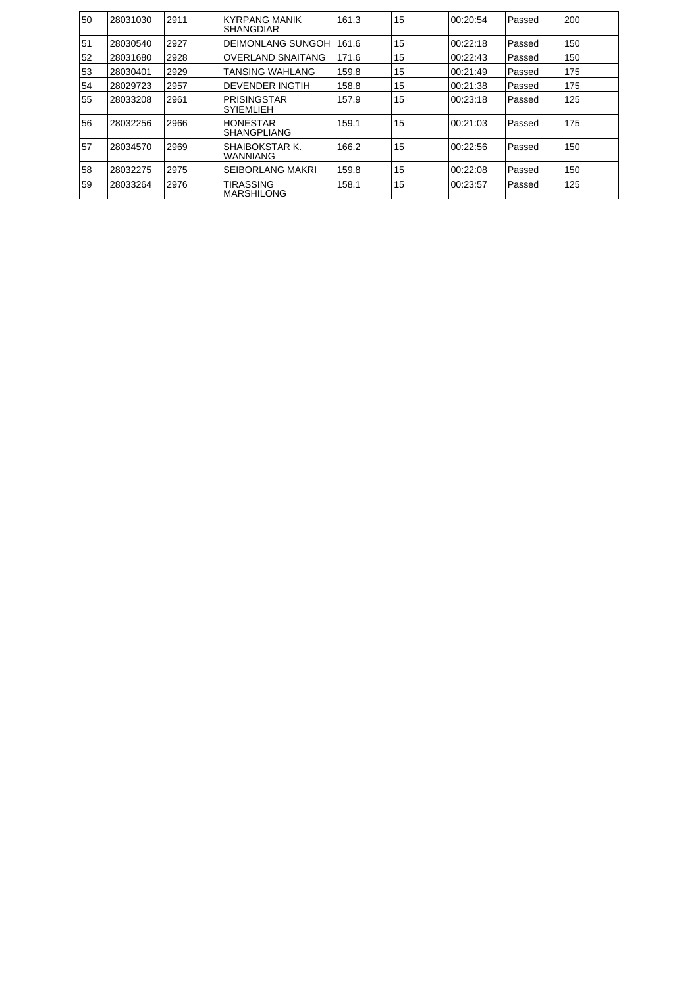| 50 | 28031030 | 2911 | KYRPANG MANIK<br><b>SHANGDIAR</b>     | 161.3 | 15 | 00:20:54 | Passed | 200 |
|----|----------|------|---------------------------------------|-------|----|----------|--------|-----|
| 51 | 28030540 | 2927 | <b>DEIMONLANG SUNGOH</b>              | 161.6 | 15 | 00:22:18 | Passed | 150 |
| 52 | 28031680 | 2928 | <b>OVERLAND SNAITANG</b>              | 171.6 | 15 | 00:22:43 | Passed | 150 |
| 53 | 28030401 | 2929 | <b>TANSING WAHLANG</b>                | 159.8 | 15 | 00:21:49 | Passed | 175 |
| 54 | 28029723 | 2957 | <b>DEVENDER INGTIH</b>                | 158.8 | 15 | 00:21:38 | Passed | 175 |
| 55 | 28033208 | 2961 | PRISINGSTAR<br><b>SYIEMLIEH</b>       | 157.9 | 15 | 00:23:18 | Passed | 125 |
| 56 | 28032256 | 2966 | <b>HONESTAR</b><br><b>SHANGPLIANG</b> | 159.1 | 15 | 00:21:03 | Passed | 175 |
| 57 | 28034570 | 2969 | SHAIBOKSTAR K.<br>WANNIANG            | 166.2 | 15 | 00:22:56 | Passed | 150 |
| 58 | 28032275 | 2975 | <b>SEIBORLANG MAKRI</b>               | 159.8 | 15 | 00:22:08 | Passed | 150 |
| 59 | 28033264 | 2976 | <b>TIRASSING</b><br><b>MARSHILONG</b> | 158.1 | 15 | 00:23:57 | Passed | 125 |